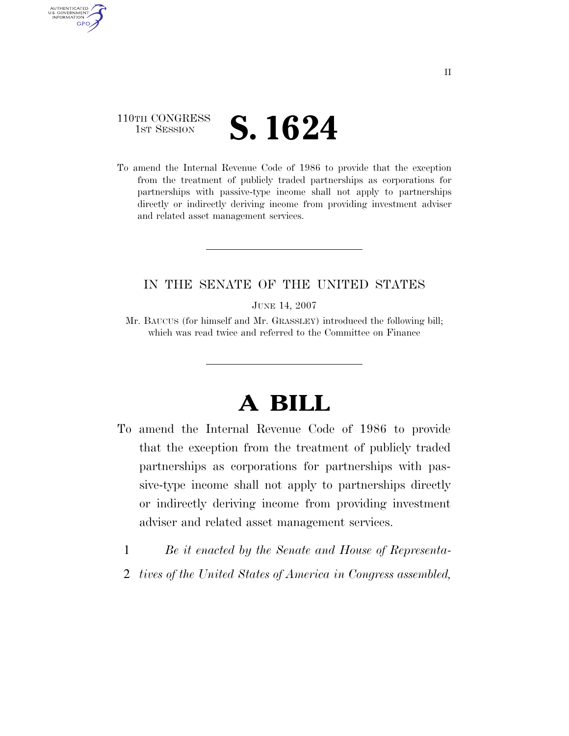## 110TH CONGRESS **1ST SESSION S. 1624**

AUTHENTICATED U.S. GOVERNMENT **GPO** 

> To amend the Internal Revenue Code of 1986 to provide that the exception from the treatment of publicly traded partnerships as corporations for partnerships with passive-type income shall not apply to partnerships directly or indirectly deriving income from providing investment adviser and related asset management services.

## IN THE SENATE OF THE UNITED STATES

JUNE 14, 2007

Mr. BAUCUS (for himself and Mr. GRASSLEY) introduced the following bill; which was read twice and referred to the Committee on Finance

## **A BILL**

- To amend the Internal Revenue Code of 1986 to provide that the exception from the treatment of publicly traded partnerships as corporations for partnerships with passive-type income shall not apply to partnerships directly or indirectly deriving income from providing investment adviser and related asset management services.
	- 1 *Be it enacted by the Senate and House of Representa-*
	- 2 *tives of the United States of America in Congress assembled,*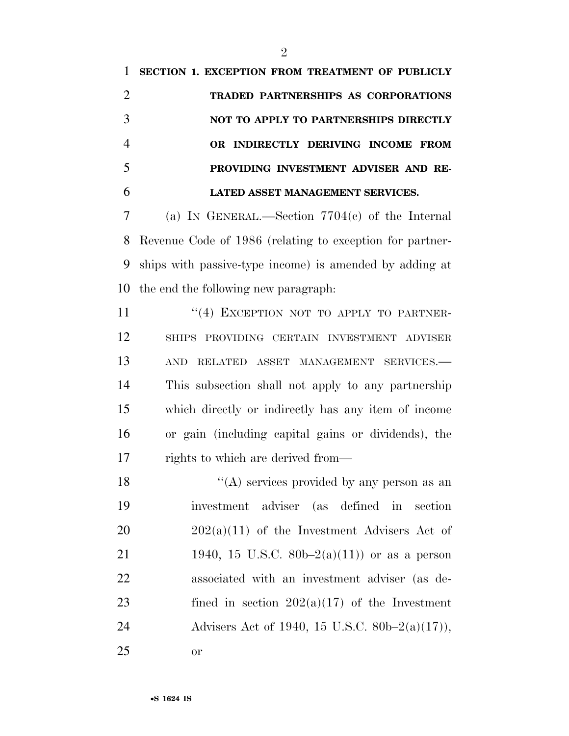**SECTION 1. EXCEPTION FROM TREATMENT OF PUBLICLY TRADED PARTNERSHIPS AS CORPORATIONS NOT TO APPLY TO PARTNERSHIPS DIRECTLY OR INDIRECTLY DERIVING INCOME FROM PROVIDING INVESTMENT ADVISER AND RE-LATED ASSET MANAGEMENT SERVICES.** 

 (a) IN GENERAL.—Section 7704(c) of the Internal Revenue Code of 1986 (relating to exception for partner- ships with passive-type income) is amended by adding at the end the following new paragraph:

11 "(4) EXCEPTION NOT TO APPLY TO PARTNER- SHIPS PROVIDING CERTAIN INVESTMENT ADVISER AND RELATED ASSET MANAGEMENT SERVICES.— This subsection shall not apply to any partnership which directly or indirectly has any item of income or gain (including capital gains or dividends), the rights to which are derived from—

 $"({\rm A})$  services provided by any person as an investment adviser (as defined in section  $202(a)(11)$  of the Investment Advisers Act of 21 1940, 15 U.S.C.  $80b-2(a)(11)$  or as a person associated with an investment adviser (as de-23 fined in section  $202(a)(17)$  of the Investment Advisers Act of 1940, 15 U.S.C. 80b–2(a)(17)), or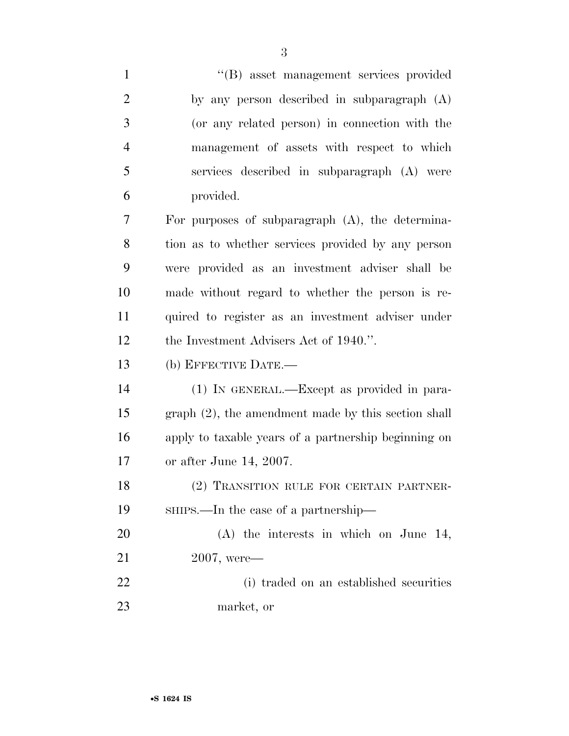| $\mathbf{1}$   | "(B) asset management services provided                |
|----------------|--------------------------------------------------------|
| $\overline{2}$ | by any person described in subparagraph (A)            |
| 3              | (or any related person) in connection with the         |
| $\overline{4}$ | management of assets with respect to which             |
| 5              | services described in subparagraph (A) were            |
| 6              | provided.                                              |
| 7              | For purposes of subparagraph $(A)$ , the determina-    |
| 8              | tion as to whether services provided by any person     |
| 9              | were provided as an investment adviser shall be        |
| 10             | made without regard to whether the person is re-       |
| 11             | quired to register as an investment adviser under      |
| 12             | the Investment Advisers Act of 1940.".                 |
| 13             | (b) EFFECTIVE DATE.-                                   |
| 14             | (1) IN GENERAL.—Except as provided in para-            |
| 15             | $graph (2)$ , the amendment made by this section shall |
| 16             | apply to taxable years of a partnership beginning on   |
| 17             | or after June 14, 2007.                                |
| 18             | (2) TRANSITION RULE FOR CERTAIN PARTNER-               |
| 19             | SHIPS.—In the case of a partnership—                   |
| 20             | $(A)$ the interests in which on June 14,               |
| 21             | $2007$ , were-                                         |
| 22             | (i) traded on an established securities                |
| 23             | market, or                                             |